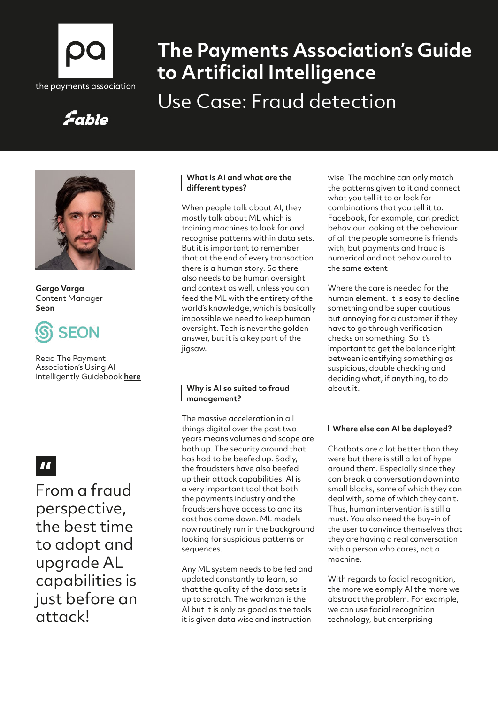

# **The Payments Association's Guide to Artificial Intelligence** Use Case: Fraud detection

## Fable



**Gergo Varga**  Content Manager **Seon**



Read The Payment Association's Using AI Intelligently Guidebook **[here](https://thepaymentsassociation.org/whitepaper/using-ai-intelligently-smart-ways-to-use-artificial-intelligence-in-payments/)**

 $\mathbf{u}$ 

From a fraud perspective, the best time to adopt and upgrade AL capabilities is just before an attack!

#### **What is AI and what are the different types?**

When people talk about AI, they mostly talk about ML which is training machines to look for and recognise patterns within data sets. But it is important to remember that at the end of every transaction there is a human story. So there also needs to be human oversight and context as well, unless you can feed the ML with the entirety of the world's knowledge, which is basically impossible we need to keep human oversight. Tech is never the golden answer, but it is a key part of the jigsaw.

#### **Why is AI so suited to fraud management?**

The massive acceleration in all things digital over the past two years means volumes and scope are both up. The security around that has had to be beefed up. Sadly, the fraudsters have also beefed up their attack capabilities. AI is a very important tool that both the payments industry and the fraudsters have access to and its cost has come down. ML models now routinely run in the background looking for suspicious patterns or sequences.

Any ML system needs to be fed and updated constantly to learn, so that the quality of the data sets is up to scratch. The workman is the AI but it is only as good as the tools it is given data wise and instruction

wise. The machine can only match the patterns given to it and connect what you tell it to or look for combinations that you tell it to. Facebook, for example, can predict behaviour looking at the behaviour of all the people someone is friends with, but payments and fraud is numerical and not behavioural to the same extent

Where the care is needed for the human element. It is easy to decline something and be super cautious but annoying for a customer if they have to go through verification checks on something. So it's important to get the balance right between identifying something as suspicious, double checking and deciding what, if anything, to do about it.

#### **Where else can AI be deployed?**

Chatbots are a lot better than they were but there is still a lot of hype around them. Especially since they can break a conversation down into small blocks, some of which they can deal with, some of which they can't. Thus, human intervention is still a must. You also need the buy-in of the user to convince themselves that they are having a real conversation with a person who cares, not a machine.

With regards to facial recognition, the more we eomply AI the more we abstract the problem. For example, we can use facial recognition technology, but enterprising